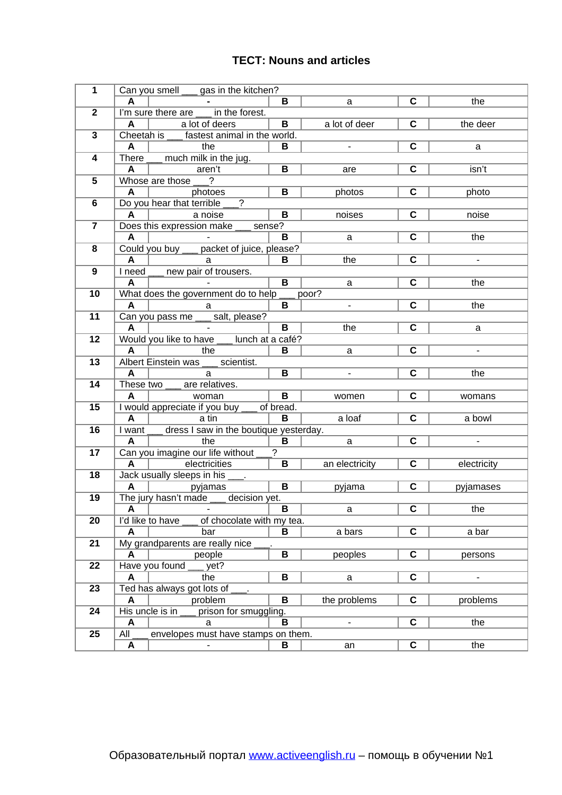## **ТЕСТ: Nouns and articles**

| $\mathbf{1}$            |                                                   | Can you smell <u>ye</u> gas in the kitchen?         |                 |                          |                         |                          |
|-------------------------|---------------------------------------------------|-----------------------------------------------------|-----------------|--------------------------|-------------------------|--------------------------|
|                         | A                                                 |                                                     | В               | $\mathsf{a}$             | $\mathbf c$             | the                      |
| $\mathbf{2}$            |                                                   | I'm sure there are in the forest.                   |                 |                          |                         |                          |
|                         | A                                                 | a lot of deers                                      | B               | a lot of deer            | $\mathbf c$             | the deer                 |
|                         | 3<br>Cheetah is ____ fastest animal in the world. |                                                     |                 |                          |                         |                          |
|                         | A                                                 | the                                                 | B               | $\blacksquare$           | $\mathbf c$             | a                        |
| 4                       |                                                   | There ____ much milk in the jug.                    |                 |                          |                         |                          |
|                         | A                                                 | aren't                                              | $\mathbf B$     | are                      | $\mathbf C$             | isn't                    |
| 5                       |                                                   | Whose are those<br>$\ddot{?}$                       |                 |                          |                         |                          |
|                         | A                                                 | photoes                                             | $\mathbf B$     | photos                   | $\mathbf C$             | photo                    |
| 6                       |                                                   | Do you hear that terrible<br>$\overline{?}$         |                 |                          |                         |                          |
|                         | A                                                 | a noise                                             | B               | noises                   | $\mathbf C$             | noise                    |
| $\overline{\mathbf{z}}$ |                                                   | Does this expression make __ sense?                 |                 |                          |                         |                          |
|                         | A                                                 |                                                     | В               | a                        | $\mathbf C$             | the                      |
| 8                       |                                                   | Could you buy ___ packet of juice, please?          |                 |                          |                         |                          |
|                         | A                                                 | - a                                                 | B               | the                      | $\mathbf C$             | $\overline{\phantom{a}}$ |
| 9                       |                                                   | I need ___ new pair of trousers.                    |                 |                          |                         |                          |
|                         | A                                                 |                                                     | $\mathbf B$     | $\mathsf{a}$             | $\mathbf C$             | the                      |
| 10                      |                                                   | What does the government do to help                 |                 | poor?                    |                         |                          |
|                         | A                                                 | a                                                   | B               | $\overline{\phantom{a}}$ | $\overline{c}$          | the                      |
| 11                      |                                                   | Can you pass me ___ salt, please?                   |                 |                          |                         |                          |
|                         | A                                                 |                                                     | B               | the                      | $\mathbf C$             | a                        |
| 12                      |                                                   | Would you like to have lunch at a café?             |                 |                          |                         |                          |
|                         | A                                                 | the                                                 | В               | a                        | $\mathbf C$             | $\overline{\phantom{a}}$ |
| 13                      |                                                   | Albert Einstein was<br>scientist.                   |                 |                          | $\mathbf c$             |                          |
| 14                      | A                                                 | a<br>These two are relatives.                       | B               | $\overline{\phantom{a}}$ |                         | the                      |
|                         | A                                                 |                                                     | $\, {\bf B} \,$ |                          | $\mathbf c$             |                          |
| 15                      |                                                   | woman                                               |                 | women                    |                         | womans                   |
|                         | A                                                 | I would appreciate if you buy __ of bread.<br>a tin | B               | a loaf                   | $\mathbf c$             | a bowl                   |
| 16                      |                                                   | I want ___ dress I saw in the boutique yesterday.   |                 |                          |                         |                          |
|                         | A                                                 | the                                                 | B               | $\mathsf{a}$             | $\overline{c}$          | $\overline{\phantom{a}}$ |
| 17                      |                                                   | Can you imagine our life without                    | $\overline{?}$  |                          |                         |                          |
|                         | $\mathbf{A}$                                      | electricities                                       | B               | an electricity           | $\overline{\mathbf{C}}$ | electricity              |
| 18                      |                                                   | Jack usually sleeps in his                          |                 |                          |                         |                          |
|                         | A                                                 | $\sim 100$ km s $^{-1}$<br>pyjamas                  | $\overline{B}$  | pyjama                   | $\mathbf C$             | pyjamases                |
| 19                      |                                                   | The jury hasn't made ___ decision yet.              |                 |                          |                         |                          |
|                         | Α                                                 |                                                     | В               | a                        | C                       | the                      |
| 20                      |                                                   | I'd like to have<br>of chocolate with my tea.       |                 |                          |                         |                          |
|                         | A                                                 | bar                                                 | B               | a bars                   | $\mathbf C$             | a bar                    |
| 21                      |                                                   | My grandparents are really nice                     |                 |                          |                         |                          |
|                         | A                                                 | people                                              | B               | peoples                  | $\mathbf C$             | persons                  |
| 22                      |                                                   | Have you found<br>yet?                              |                 |                          |                         |                          |
|                         | A                                                 | the                                                 | B               | a                        | $\mathbf c$             | $\overline{\phantom{a}}$ |
| 23                      |                                                   | Ted has always got lots of                          |                 |                          |                         |                          |
|                         | A                                                 | problem                                             | B               | the problems             | $\mathbf C$             | problems                 |
| 24                      |                                                   | His uncle is in<br>prison for smuggling.            |                 |                          |                         |                          |
|                         | Α                                                 | a                                                   | B               | $\overline{\phantom{a}}$ | $\mathbf c$             | the                      |
| 25                      | All                                               | envelopes must have stamps on them.                 |                 |                          |                         |                          |
|                         | Α                                                 |                                                     | B               | an                       | $\mathbf C$             | the                      |
|                         |                                                   |                                                     |                 |                          |                         |                          |